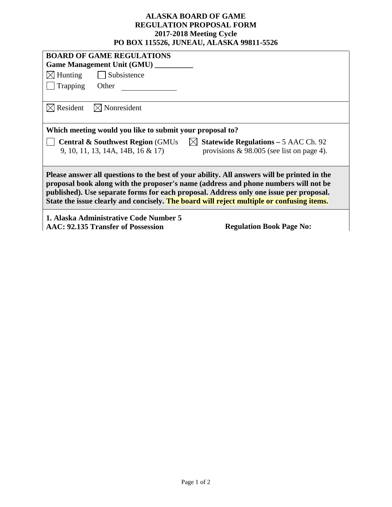## **ALASKA BOARD OF GAME REGULATION PROPOSAL FORM 2017-2018 Meeting Cycle PO BOX 115526, JUNEAU, ALASKA 99811-5526**

| <b>BOARD OF GAME REGULATIONS</b>                                                                                                                                                                                                                                                                                                                                          |  |  |  |  |  |
|---------------------------------------------------------------------------------------------------------------------------------------------------------------------------------------------------------------------------------------------------------------------------------------------------------------------------------------------------------------------------|--|--|--|--|--|
| Game Management Unit (GMU) _______                                                                                                                                                                                                                                                                                                                                        |  |  |  |  |  |
| $\bowtie$ Hunting $\mid$ Subsistence                                                                                                                                                                                                                                                                                                                                      |  |  |  |  |  |
| Trapping<br>Other                                                                                                                                                                                                                                                                                                                                                         |  |  |  |  |  |
|                                                                                                                                                                                                                                                                                                                                                                           |  |  |  |  |  |
| $\boxtimes$ Resident<br>$\bowtie$ Nonresident                                                                                                                                                                                                                                                                                                                             |  |  |  |  |  |
| Which meeting would you like to submit your proposal to?                                                                                                                                                                                                                                                                                                                  |  |  |  |  |  |
| <b>Central &amp; Southwest Region</b> (GMUs $\vert\vert\vert\vert$ Statewide Regulations – 5 AAC Ch. 92<br>provisions $\&$ 98.005 (see list on page 4).<br>9, 10, 11, 13, 14A, 14B, 16 & 17)                                                                                                                                                                              |  |  |  |  |  |
| Please answer all questions to the best of your ability. All answers will be printed in the<br>proposal book along with the proposer's name (address and phone numbers will not be<br>published). Use separate forms for each proposal. Address only one issue per proposal.<br>State the issue clearly and concisely. The board will reject multiple or confusing items. |  |  |  |  |  |
| 1. Alaska Administrative Code Number 5<br>AAC: 92.135 Transfer of Possession<br><b>Regulation Book Page No:</b>                                                                                                                                                                                                                                                           |  |  |  |  |  |